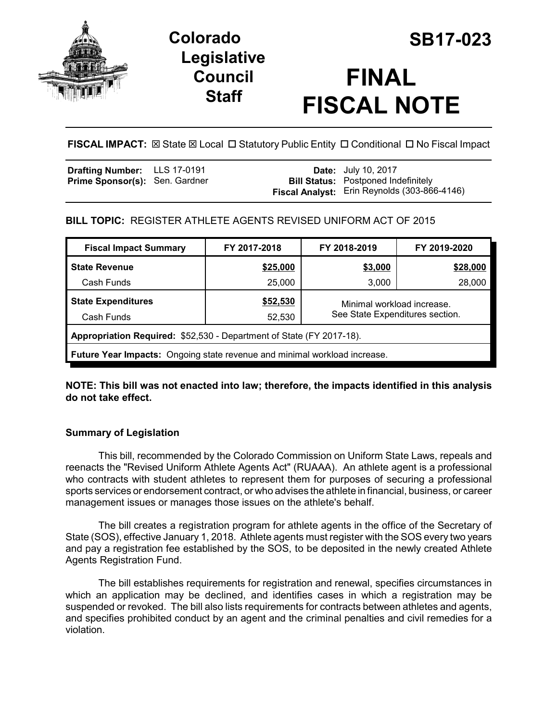

# **Colorado SB17-023 Legislative Council Staff**

# **FINAL FISCAL NOTE**

**FISCAL IMPACT:** ⊠ State ⊠ Local □ Statutory Public Entity □ Conditional □ No Fiscal Impact

| <b>Drafting Number:</b> LLS 17-0191   |  | <b>Date:</b> July 10, 2017                          |
|---------------------------------------|--|-----------------------------------------------------|
| <b>Prime Sponsor(s): Sen. Gardner</b> |  | <b>Bill Status:</b> Postponed Indefinitely          |
|                                       |  | <b>Fiscal Analyst:</b> Erin Reynolds (303-866-4146) |

## **BILL TOPIC:** REGISTER ATHLETE AGENTS REVISED UNIFORM ACT OF 2015

| <b>Fiscal Impact Summary</b>                                                     | FY 2017-2018    | FY 2018-2019                                                  | FY 2019-2020 |  |  |  |
|----------------------------------------------------------------------------------|-----------------|---------------------------------------------------------------|--------------|--|--|--|
| <b>State Revenue</b>                                                             | <u>\$25,000</u> | \$3,000                                                       | \$28,000     |  |  |  |
| Cash Funds                                                                       | 25,000          | 3,000                                                         | 28,000       |  |  |  |
| <b>State Expenditures</b>                                                        | \$52,530        | Minimal workload increase.<br>See State Expenditures section. |              |  |  |  |
| Cash Funds                                                                       | 52,530          |                                                               |              |  |  |  |
| Appropriation Required: \$52,530 - Department of State (FY 2017-18).             |                 |                                                               |              |  |  |  |
| <b>Future Year Impacts:</b> Ongoing state revenue and minimal workload increase. |                 |                                                               |              |  |  |  |

**NOTE: This bill was not enacted into law; therefore, the impacts identified in this analysis do not take effect.** 

### **Summary of Legislation**

This bill, recommended by the Colorado Commission on Uniform State Laws, repeals and reenacts the "Revised Uniform Athlete Agents Act" (RUAAA). An athlete agent is a professional who contracts with student athletes to represent them for purposes of securing a professional sports services or endorsement contract, or who advises the athlete in financial, business, or career management issues or manages those issues on the athlete's behalf.

The bill creates a registration program for athlete agents in the office of the Secretary of State (SOS), effective January 1, 2018. Athlete agents must register with the SOS every two years and pay a registration fee established by the SOS, to be deposited in the newly created Athlete Agents Registration Fund.

The bill establishes requirements for registration and renewal, specifies circumstances in which an application may be declined, and identifies cases in which a registration may be suspended or revoked. The bill also lists requirements for contracts between athletes and agents, and specifies prohibited conduct by an agent and the criminal penalties and civil remedies for a violation.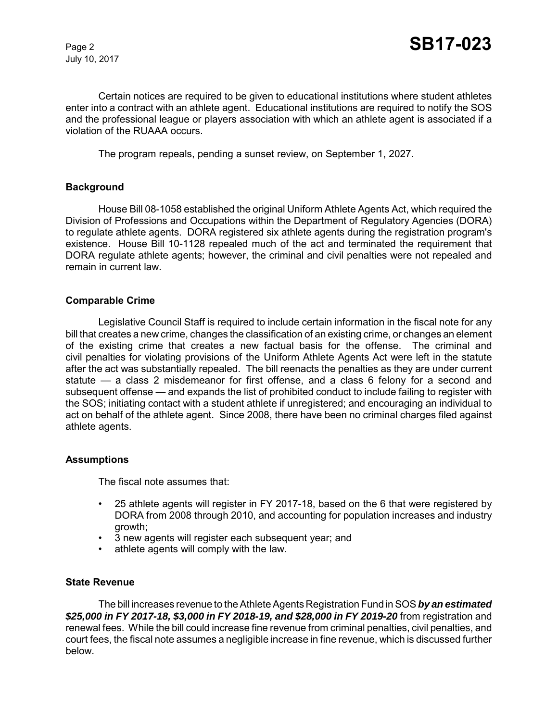Certain notices are required to be given to educational institutions where student athletes enter into a contract with an athlete agent. Educational institutions are required to notify the SOS and the professional league or players association with which an athlete agent is associated if a violation of the RUAAA occurs.

The program repeals, pending a sunset review, on September 1, 2027.

#### **Background**

House Bill 08-1058 established the original Uniform Athlete Agents Act, which required the Division of Professions and Occupations within the Department of Regulatory Agencies (DORA) to regulate athlete agents. DORA registered six athlete agents during the registration program's existence. House Bill 10-1128 repealed much of the act and terminated the requirement that DORA regulate athlete agents; however, the criminal and civil penalties were not repealed and remain in current law.

#### **Comparable Crime**

Legislative Council Staff is required to include certain information in the fiscal note for any bill that creates a new crime, changes the classification of an existing crime, or changes an element of the existing crime that creates a new factual basis for the offense. The criminal and civil penalties for violating provisions of the Uniform Athlete Agents Act were left in the statute after the act was substantially repealed. The bill reenacts the penalties as they are under current statute — a class 2 misdemeanor for first offense, and a class 6 felony for a second and subsequent offense — and expands the list of prohibited conduct to include failing to register with the SOS; initiating contact with a student athlete if unregistered; and encouraging an individual to act on behalf of the athlete agent. Since 2008, there have been no criminal charges filed against athlete agents.

#### **Assumptions**

The fiscal note assumes that:

- 25 athlete agents will register in FY 2017-18, based on the 6 that were registered by DORA from 2008 through 2010, and accounting for population increases and industry growth;
- 3 new agents will register each subsequent year; and
- athlete agents will comply with the law.

#### **State Revenue**

The bill increases revenue to the Athlete Agents Registration Fund in SOS *by an estimated \$25,000 in FY 2017-18, \$3,000 in FY 2018-19, and \$28,000 in FY 2019-20* from registration and renewal fees. While the bill could increase fine revenue from criminal penalties, civil penalties, and court fees, the fiscal note assumes a negligible increase in fine revenue, which is discussed further below.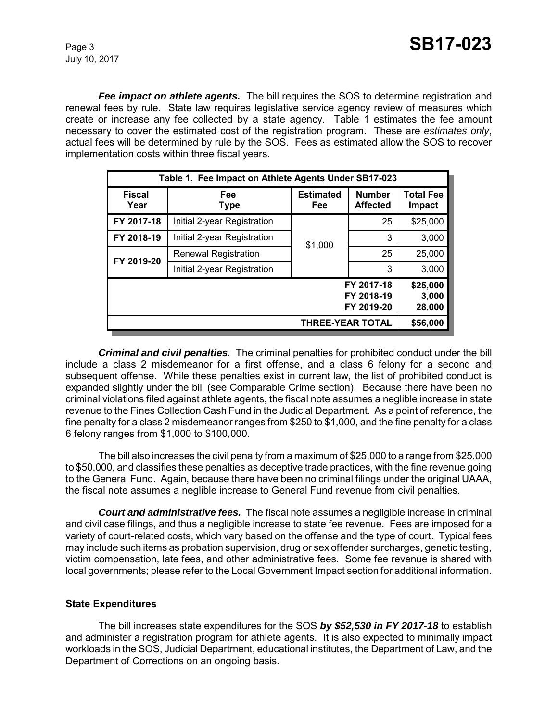*Fee impact on athlete agents.* The bill requires the SOS to determine registration and renewal fees by rule. State law requires legislative service agency review of measures which create or increase any fee collected by a state agency. Table 1 estimates the fee amount necessary to cover the estimated cost of the registration program. These are *estimates only*, actual fees will be determined by rule by the SOS. Fees as estimated allow the SOS to recover implementation costs within three fiscal years.

| Table 1. Fee Impact on Athlete Agents Under SB17-023                  |                             |                                |                                  |                                   |  |
|-----------------------------------------------------------------------|-----------------------------|--------------------------------|----------------------------------|-----------------------------------|--|
| <b>Fiscal</b><br>Year                                                 | Fee<br>Type                 | <b>Estimated</b><br><b>Fee</b> | <b>Number</b><br><b>Affected</b> | <b>Total Fee</b><br><b>Impact</b> |  |
| FY 2017-18                                                            | Initial 2-year Registration |                                | 25                               | \$25,000                          |  |
| FY 2018-19                                                            | Initial 2-year Registration | \$1,000                        | 3                                | 3,000                             |  |
| FY 2019-20                                                            | <b>Renewal Registration</b> |                                | 25                               | 25,000                            |  |
|                                                                       | Initial 2-year Registration |                                | 3                                | 3,000                             |  |
| \$25,000<br>FY 2017-18<br>FY 2018-19<br>3,000<br>FY 2019-20<br>28,000 |                             |                                |                                  |                                   |  |
|                                                                       | \$56,000                    |                                |                                  |                                   |  |

*Criminal and civil penalties.* The criminal penalties for prohibited conduct under the bill include a class 2 misdemeanor for a first offense, and a class 6 felony for a second and subsequent offense. While these penalties exist in current law, the list of prohibited conduct is expanded slightly under the bill (see Comparable Crime section). Because there have been no criminal violations filed against athlete agents, the fiscal note assumes a neglible increase in state revenue to the Fines Collection Cash Fund in the Judicial Department. As a point of reference, the fine penalty for a class 2 misdemeanor ranges from \$250 to \$1,000, and the fine penalty for a class 6 felony ranges from \$1,000 to \$100,000.

The bill also increases the civil penalty from a maximum of \$25,000 to a range from \$25,000 to \$50,000, and classifies these penalties as deceptive trade practices, with the fine revenue going to the General Fund. Again, because there have been no criminal filings under the original UAAA, the fiscal note assumes a neglible increase to General Fund revenue from civil penalties.

*Court and administrative fees.* The fiscal note assumes a negligible increase in criminal and civil case filings, and thus a negligible increase to state fee revenue. Fees are imposed for a variety of court-related costs, which vary based on the offense and the type of court. Typical fees may include such items as probation supervision, drug or sex offender surcharges, genetic testing, victim compensation, late fees, and other administrative fees. Some fee revenue is shared with local governments; please refer to the Local Government Impact section for additional information.

#### **State Expenditures**

The bill increases state expenditures for the SOS *by \$52,530 in FY 2017-18* to establish and administer a registration program for athlete agents. It is also expected to minimally impact workloads in the SOS, Judicial Department, educational institutes, the Department of Law, and the Department of Corrections on an ongoing basis.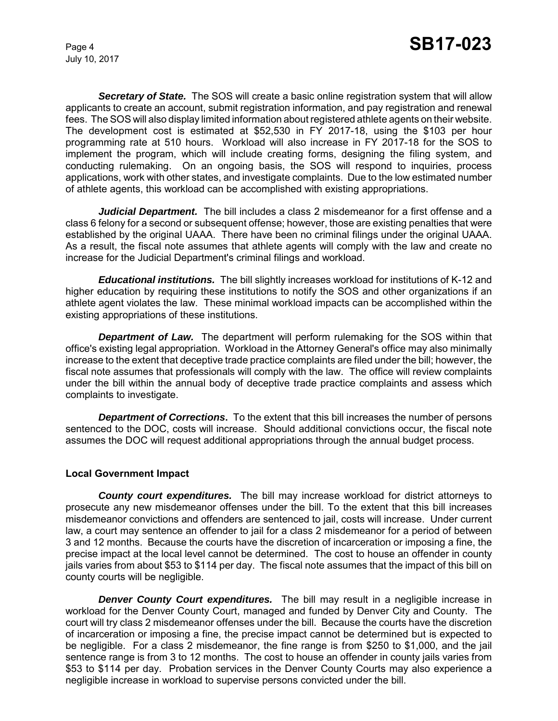*Secretary of State.* The SOS will create a basic online registration system that will allow applicants to create an account, submit registration information, and pay registration and renewal fees. The SOS will also display limited information about registered athlete agents on their website. The development cost is estimated at \$52,530 in FY 2017-18, using the \$103 per hour programming rate at 510 hours. Workload will also increase in FY 2017-18 for the SOS to implement the program, which will include creating forms, designing the filing system, and conducting rulemaking. On an ongoing basis, the SOS will respond to inquiries, process applications, work with other states, and investigate complaints. Due to the low estimated number of athlete agents, this workload can be accomplished with existing appropriations.

*Judicial Department.* The bill includes a class 2 misdemeanor for a first offense and a class 6 felony for a second or subsequent offense; however, those are existing penalties that were established by the original UAAA. There have been no criminal filings under the original UAAA. As a result, the fiscal note assumes that athlete agents will comply with the law and create no increase for the Judicial Department's criminal filings and workload.

*Educational institutions.* The bill slightly increases workload for institutions of K-12 and higher education by requiring these institutions to notify the SOS and other organizations if an athlete agent violates the law. These minimal workload impacts can be accomplished within the existing appropriations of these institutions.

*Department of Law.* The department will perform rulemaking for the SOS within that office's existing legal appropriation. Workload in the Attorney General's office may also minimally increase to the extent that deceptive trade practice complaints are filed under the bill; however, the fiscal note assumes that professionals will comply with the law. The office will review complaints under the bill within the annual body of deceptive trade practice complaints and assess which complaints to investigate.

**Department of Corrections.** To the extent that this bill increases the number of persons sentenced to the DOC, costs will increase. Should additional convictions occur, the fiscal note assumes the DOC will request additional appropriations through the annual budget process.

#### **Local Government Impact**

*County court expenditures.* The bill may increase workload for district attorneys to prosecute any new misdemeanor offenses under the bill. To the extent that this bill increases misdemeanor convictions and offenders are sentenced to jail, costs will increase. Under current law, a court may sentence an offender to jail for a class 2 misdemeanor for a period of between 3 and 12 months. Because the courts have the discretion of incarceration or imposing a fine, the precise impact at the local level cannot be determined. The cost to house an offender in county jails varies from about \$53 to \$114 per day. The fiscal note assumes that the impact of this bill on county courts will be negligible.

**Denver County Court expenditures.** The bill may result in a negligible increase in workload for the Denver County Court, managed and funded by Denver City and County. The court will try class 2 misdemeanor offenses under the bill. Because the courts have the discretion of incarceration or imposing a fine, the precise impact cannot be determined but is expected to be negligible. For a class 2 misdemeanor, the fine range is from \$250 to \$1,000, and the jail sentence range is from 3 to 12 months. The cost to house an offender in county jails varies from \$53 to \$114 per day. Probation services in the Denver County Courts may also experience a negligible increase in workload to supervise persons convicted under the bill.